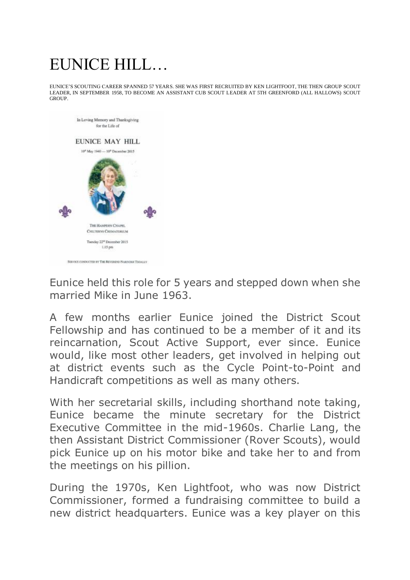## EUNICE HILL…

EUNICE'S SCOUTING CAREER SPANNED 57 YEARS. SHE WAS FIRST RECRUITED BY KEN LIGHTFOOT, THE THEN GROUP SCOUT LEADER, IN SEPTEMBER 1958, TO BECOME AN ASSISTANT CUB SCOUT LEADER AT 5TH GREENFORD (ALL HALLOWS) SCOUT GROUP.



Eunice held this role for 5 years and stepped down when she married Mike in June 1963.

A few months earlier Eunice joined the District Scout Fellowship and has continued to be a member of it and its reincarnation, Scout Active Support, ever since. Eunice would, like most other leaders, get involved in helping out at district events such as the Cycle Point-to-Point and Handicraft competitions as well as many others.

With her secretarial skills, including shorthand note taking, Eunice became the minute secretary for the District Executive Committee in the mid-1960s. Charlie Lang, the then Assistant District Commissioner (Rover Scouts), would pick Eunice up on his motor bike and take her to and from the meetings on his pillion.

During the 1970s, Ken Lightfoot, who was now District Commissioner, formed a fundraising committee to build a new district headquarters. Eunice was a key player on this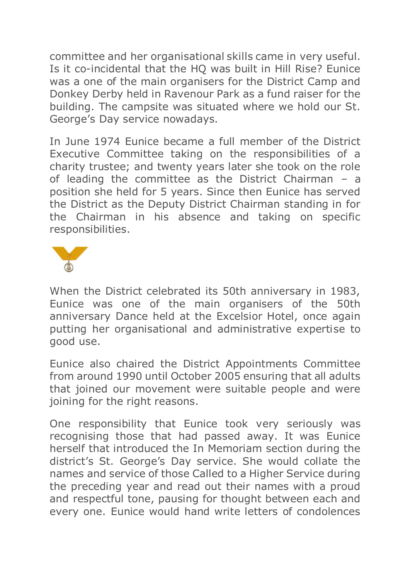committee and her organisational skills came in very useful. Is it co-incidental that the HQ was built in Hill Rise? Eunice was a one of the main organisers for the District Camp and Donkey Derby held in Ravenour Park as a fund raiser for the building. The campsite was situated where we hold our St. George's Day service nowadays.

In June 1974 Eunice became a full member of the District Executive Committee taking on the responsibilities of a charity trustee; and twenty years later she took on the role of leading the committee as the District Chairman – a position she held for 5 years. Since then Eunice has served the District as the Deputy District Chairman standing in for the Chairman in his absence and taking on specific responsibilities.



When the District celebrated its 50th anniversary in 1983, Eunice was one of the main organisers of the 50th anniversary Dance held at the Excelsior Hotel, once again putting her organisational and administrative expertise to good use.

Eunice also chaired the District Appointments Committee from around 1990 until October 2005 ensuring that all adults that joined our movement were suitable people and were joining for the right reasons.

One responsibility that Eunice took very seriously was recognising those that had passed away. It was Eunice herself that introduced the In Memoriam section during the district's St. George's Day service. She would collate the names and service of those Called to a Higher Service during the preceding year and read out their names with a proud and respectful tone, pausing for thought between each and every one. Eunice would hand write letters of condolences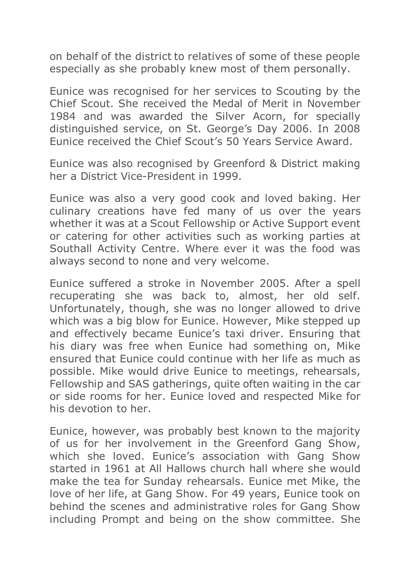on behalf of the district to relatives of some of these people especially as she probably knew most of them personally.

Eunice was recognised for her services to Scouting by the Chief Scout. She received the Medal of Merit in November 1984 and was awarded the Silver Acorn, for specially distinguished service, on St. George's Day 2006. In 2008 Eunice received the Chief Scout's 50 Years Service Award.

Eunice was also recognised by Greenford & District making her a District Vice-President in 1999.

Eunice was also a very good cook and loved baking. Her culinary creations have fed many of us over the years whether it was at a Scout Fellowship or Active Support event or catering for other activities such as working parties at Southall Activity Centre. Where ever it was the food was always second to none and very welcome.

Eunice suffered a stroke in November 2005. After a spell recuperating she was back to, almost, her old self. Unfortunately, though, she was no longer allowed to drive which was a big blow for Eunice. However, Mike stepped up and effectively became Eunice's taxi driver. Ensuring that his diary was free when Eunice had something on, Mike ensured that Eunice could continue with her life as much as possible. Mike would drive Eunice to meetings, rehearsals, Fellowship and SAS gatherings, quite often waiting in the car or side rooms for her. Eunice loved and respected Mike for his devotion to her.

Eunice, however, was probably best known to the majority of us for her involvement in the Greenford Gang Show, which she loved. Eunice's association with Gang Show started in 1961 at All Hallows church hall where she would make the tea for Sunday rehearsals. Eunice met Mike, the love of her life, at Gang Show. For 49 years, Eunice took on behind the scenes and administrative roles for Gang Show including Prompt and being on the show committee. She